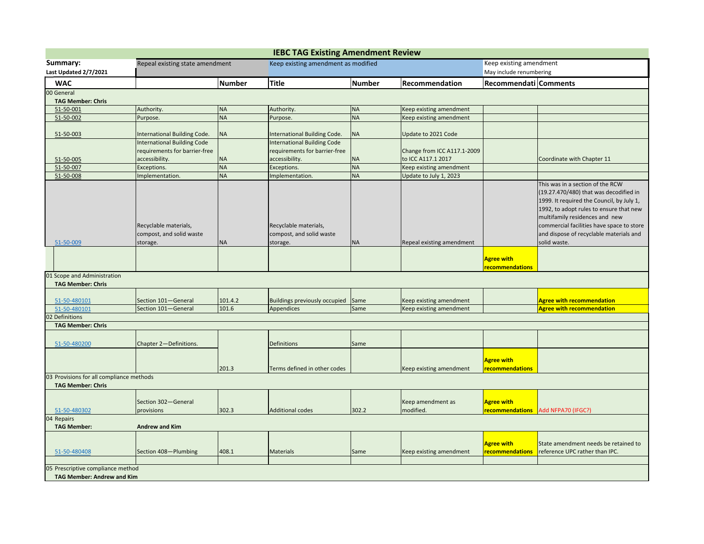| <b>IEBC TAG Existing Amendment Review</b> |                                                                        |                  |                                     |                         |                             |                         |                                                                      |  |
|-------------------------------------------|------------------------------------------------------------------------|------------------|-------------------------------------|-------------------------|-----------------------------|-------------------------|----------------------------------------------------------------------|--|
| Summary:                                  | Keep existing amendment as modified<br>Repeal existing state amendment |                  |                                     | Keep existing amendment |                             |                         |                                                                      |  |
| Last Updated 2/7/2021                     |                                                                        |                  |                                     |                         |                             | May include renumbering |                                                                      |  |
| <b>WAC</b>                                |                                                                        | <b>Number</b>    | <b>Title</b>                        | <b>Number</b>           | Recommendation              | Recommendati Comments   |                                                                      |  |
| 00 General                                |                                                                        |                  |                                     |                         |                             |                         |                                                                      |  |
| <b>TAG Member: Chris</b>                  |                                                                        |                  |                                     |                         |                             |                         |                                                                      |  |
| 51-50-001                                 | Authority.                                                             | <b>NA</b>        | Authority.                          | <b>NA</b>               | Keep existing amendment     |                         |                                                                      |  |
| 51-50-002                                 | Purpose.                                                               | <b>NA</b>        | Purpose.                            | <b>NA</b>               | Keep existing amendment     |                         |                                                                      |  |
| 51-50-003                                 | International Building Code.                                           | <b>NA</b>        | <b>International Building Code.</b> | <b>NA</b>               | Update to 2021 Code         |                         |                                                                      |  |
|                                           | International Building Code                                            |                  | <b>International Building Code</b>  |                         |                             |                         |                                                                      |  |
|                                           | requirements for barrier-free                                          |                  | requirements for barrier-free       |                         | Change from ICC A117.1-2009 |                         |                                                                      |  |
| 51-50-005                                 | accessibility.                                                         | <b>NA</b>        | accessibility.                      | <b>NA</b>               | to ICC A117.1 2017          |                         | Coordinate with Chapter 11                                           |  |
| 51-50-007                                 | Exceptions.                                                            | <b>NA</b>        | Exceptions.                         | <b>NA</b>               | Keep existing amendment     |                         |                                                                      |  |
| 51-50-008                                 | Implementation.                                                        | <b>NA</b>        | Implementation.                     | <b>NA</b>               | Update to July 1, 2023      |                         |                                                                      |  |
|                                           |                                                                        |                  |                                     |                         |                             |                         | This was in a section of the RCW                                     |  |
|                                           |                                                                        |                  |                                     |                         |                             |                         | (19.27.470/480) that was decodified in                               |  |
|                                           |                                                                        |                  |                                     |                         |                             |                         | 1999. It required the Council, by July 1,                            |  |
|                                           |                                                                        |                  |                                     |                         |                             |                         | 1992, to adopt rules to ensure that new                              |  |
|                                           |                                                                        |                  |                                     |                         |                             |                         | multifamily residences and new                                       |  |
|                                           | Recyclable materials,<br>compost, and solid waste                      |                  | Recyclable materials,               |                         |                             |                         | commercial facilities have space to store                            |  |
| 51-50-009                                 |                                                                        | ΝA               | compost, and solid waste            | <b>NA</b>               | Repeal existing amendment   |                         | and dispose of recyclable materials and<br>solid waste.              |  |
|                                           | storage.                                                               |                  | storage.                            |                         |                             |                         |                                                                      |  |
|                                           |                                                                        |                  |                                     |                         |                             | Agree with              |                                                                      |  |
|                                           |                                                                        |                  |                                     |                         |                             | recommendations         |                                                                      |  |
| 01 Scope and Administration               |                                                                        |                  |                                     |                         |                             |                         |                                                                      |  |
| <b>TAG Member: Chris</b>                  |                                                                        |                  |                                     |                         |                             |                         |                                                                      |  |
|                                           |                                                                        |                  |                                     |                         |                             |                         |                                                                      |  |
| 51-50-480101<br>51-50-480101              | Section 101-General<br>Section 101-General                             | 101.4.2<br>101.6 | Buildings previously occupied       | Same<br>Same            | Keep existing amendment     |                         | <b>Agree with recommendation</b><br><b>Agree with recommendation</b> |  |
| 2 Definitions                             |                                                                        |                  | Appendices                          |                         | Keep existing amendment     |                         |                                                                      |  |
| <b>TAG Member: Chris</b>                  |                                                                        |                  |                                     |                         |                             |                         |                                                                      |  |
|                                           |                                                                        |                  |                                     |                         |                             |                         |                                                                      |  |
| 51-50-480200                              | Chapter 2-Definitions.                                                 |                  | <b>Definitions</b>                  | Same                    |                             |                         |                                                                      |  |
|                                           |                                                                        |                  |                                     |                         |                             |                         |                                                                      |  |
|                                           |                                                                        |                  |                                     |                         |                             | <b>Agree with</b>       |                                                                      |  |
|                                           |                                                                        | 201.3            | Terms defined in other codes        |                         | Keep existing amendment     | recommendations         |                                                                      |  |
| 03 Provisions for all compliance methods  |                                                                        |                  |                                     |                         |                             |                         |                                                                      |  |
| <b>TAG Member: Chris</b>                  |                                                                        |                  |                                     |                         |                             |                         |                                                                      |  |
|                                           |                                                                        |                  |                                     |                         |                             |                         |                                                                      |  |
|                                           | Section 302-General                                                    |                  |                                     |                         | Keep amendment as           | <b>Agree with</b>       |                                                                      |  |
| 51-50-480302                              | provisions                                                             | 302.3            | <b>Additional codes</b>             | 302.2                   | modified.                   | recommendations         | Add NFPA70 (IFGC?)                                                   |  |
| 04 Repairs<br><b>TAG Member:</b>          | <b>Andrew and Kim</b>                                                  |                  |                                     |                         |                             |                         |                                                                      |  |
|                                           |                                                                        |                  |                                     |                         |                             |                         |                                                                      |  |
|                                           |                                                                        |                  |                                     |                         |                             | Agree with              | State amendment needs be retained to                                 |  |
| 51-50-480408                              | Section 408-Plumbing                                                   | 408.1            | <b>Materials</b>                    | Same                    | Keep existing amendment     | recommendations         | reference UPC rather than IPC.                                       |  |
|                                           |                                                                        |                  |                                     |                         |                             |                         |                                                                      |  |
| 05 Prescriptive compliance method         |                                                                        |                  |                                     |                         |                             |                         |                                                                      |  |
| <b>TAG Member: Andrew and Kim</b>         |                                                                        |                  |                                     |                         |                             |                         |                                                                      |  |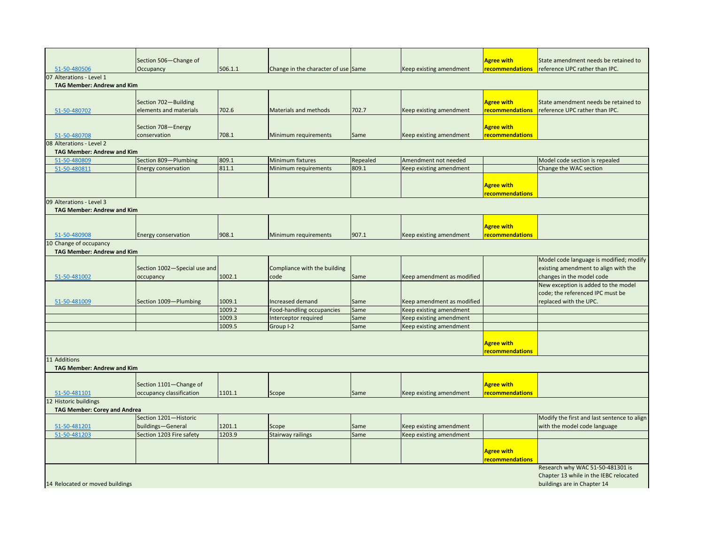|                                     | Section 506-Change of        |         |                                     |          |                            | <b>Agree with</b>      | State amendment needs be retained to        |
|-------------------------------------|------------------------------|---------|-------------------------------------|----------|----------------------------|------------------------|---------------------------------------------|
| 51-50-480506                        | Occupancy                    | 506.1.1 | Change in the character of use Same |          | Keep existing amendment    | <b>recommendations</b> | reference UPC rather than IPC.              |
| 07 Alterations - Level 1            |                              |         |                                     |          |                            |                        |                                             |
| <b>TAG Member: Andrew and Kim</b>   |                              |         |                                     |          |                            |                        |                                             |
|                                     |                              |         |                                     |          |                            |                        |                                             |
|                                     | Section 702-Building         |         |                                     |          |                            | <b>Agree with</b>      | State amendment needs be retained to        |
| 51-50-480702                        | elements and materials       | 702.6   | Materials and methods               | 702.7    | Keep existing amendment    | recommendations        | reference UPC rather than IPC.              |
|                                     |                              |         |                                     |          |                            |                        |                                             |
|                                     | Section 708-Energy           |         |                                     |          |                            | <b>Agree with</b>      |                                             |
| 51-50-480708                        | conservation                 | 708.1   | Minimum requirements                | Same     | Keep existing amendment    | recommendations        |                                             |
| 08 Alterations - Level 2            |                              |         |                                     |          |                            |                        |                                             |
| <b>TAG Member: Andrew and Kim</b>   |                              |         |                                     |          |                            |                        |                                             |
| 51-50-480809                        | Section 809-Plumbing         | 809.1   | Minimum fixtures                    | Repealed | Amendment not needed       |                        | Model code section is repealed              |
| 51-50-480811                        | <b>Energy conservation</b>   | 811.1   | Minimum requirements                | 809.1    | Keep existing amendment    |                        | Change the WAC section                      |
|                                     |                              |         |                                     |          |                            |                        |                                             |
|                                     |                              |         |                                     |          |                            | <b>Agree with</b>      |                                             |
|                                     |                              |         |                                     |          |                            | recommendations        |                                             |
| 09 Alterations - Level 3            |                              |         |                                     |          |                            |                        |                                             |
| <b>TAG Member: Andrew and Kim</b>   |                              |         |                                     |          |                            |                        |                                             |
|                                     |                              |         |                                     |          |                            |                        |                                             |
|                                     |                              |         |                                     |          |                            | <b>Agree with</b>      |                                             |
| 51-50-480908                        | <b>Energy conservation</b>   | 908.1   | Minimum requirements                | 907.1    | Keep existing amendment    | recommendations        |                                             |
| 10 Change of occupancy              |                              |         |                                     |          |                            |                        |                                             |
| <b>TAG Member: Andrew and Kim</b>   |                              |         |                                     |          |                            |                        |                                             |
|                                     |                              |         |                                     |          |                            |                        | Model code language is modified; modify     |
|                                     | Section 1002-Special use and |         | Compliance with the building        |          |                            |                        | existing amendment to align with the        |
| 51-50-481002                        | occupancy                    | 1002.1  | code                                | Same     | Keep amendment as modified |                        | changes in the model code                   |
|                                     |                              |         |                                     |          |                            |                        | New exception is added to the model         |
|                                     |                              |         |                                     |          |                            |                        | code; the referenced IPC must be            |
| 51-50-481009                        | Section 1009-Plumbing        | 1009.1  | <b>Increased demand</b>             | Same     | Keep amendment as modified |                        | replaced with the UPC.                      |
|                                     |                              | 1009.2  | Food-handling occupancies           | Same     | Keep existing amendment    |                        |                                             |
|                                     |                              | 1009.3  | Interceptor required                | Same     | Keep existing amendment    |                        |                                             |
|                                     |                              | 1009.5  | Group I-2                           | Same     | Keep existing amendment    |                        |                                             |
|                                     |                              |         |                                     |          |                            |                        |                                             |
|                                     |                              |         |                                     |          |                            | <b>Agree with</b>      |                                             |
|                                     |                              |         |                                     |          |                            | recommendations        |                                             |
| 11 Additions                        |                              |         |                                     |          |                            |                        |                                             |
| <b>TAG Member: Andrew and Kim</b>   |                              |         |                                     |          |                            |                        |                                             |
|                                     |                              |         |                                     |          |                            |                        |                                             |
|                                     | Section 1101-Change of       |         |                                     |          |                            | <b>Agree with</b>      |                                             |
| 51-50-481101                        | occupancy classification     | 1101.1  | Scope                               | Same     | Keep existing amendment    | recommendations        |                                             |
| 2 Historic buildings                |                              |         |                                     |          |                            |                        |                                             |
| <b>TAG Member: Corey and Andrea</b> |                              |         |                                     |          |                            |                        |                                             |
|                                     | Section 1201-Historic        |         |                                     |          |                            |                        | Modify the first and last sentence to align |
| 51-50-481201                        | buildings-General            | 1201.1  | Scope                               | Same     | Keep existing amendment    |                        | with the model code language                |
| 51-50-481203                        | Section 1203 Fire safety     | 1203.9  | <b>Stairway railings</b>            | Same     | Keep existing amendment    |                        |                                             |
|                                     |                              |         |                                     |          |                            |                        |                                             |
|                                     |                              |         |                                     |          |                            | <b>Agree with</b>      |                                             |
|                                     |                              |         |                                     |          |                            | recommendations        |                                             |
|                                     |                              |         |                                     |          |                            |                        | Research why WAC 51-50-481301 is            |
|                                     |                              |         |                                     |          |                            |                        | Chapter 13 while in the IEBC relocated      |
| 14 Relocated or moved buildings     | buildings are in Chapter 14  |         |                                     |          |                            |                        |                                             |